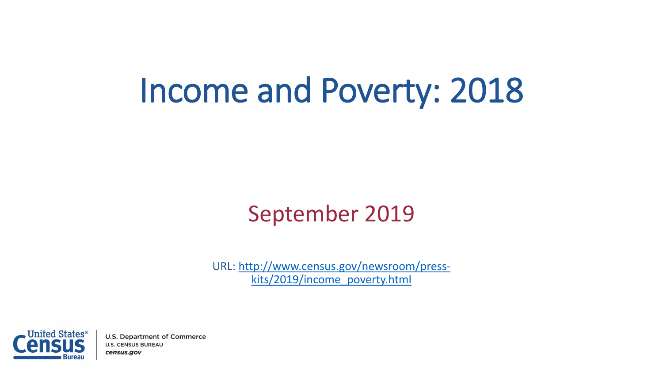# Income and Poverty: 2018

#### September 2019

URL: [http://www.census.gov/newsroom/press](http://www.census.gov/newsroom/press-kits/2015/income_poverty.html)kits/2019/income\_poverty.html



**U.S. Department of Commerce U.S. CENSUS BUREAU** census.gov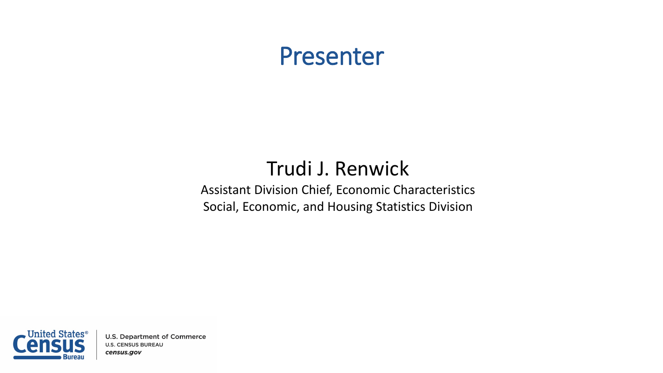#### Presenter

#### Trudi J. Renwick

Assistant Division Chief, Economic Characteristics Social, Economic, and Housing Statistics Division



**U.S. Department of Commerce U.S. CENSUS BUREAU** census.gov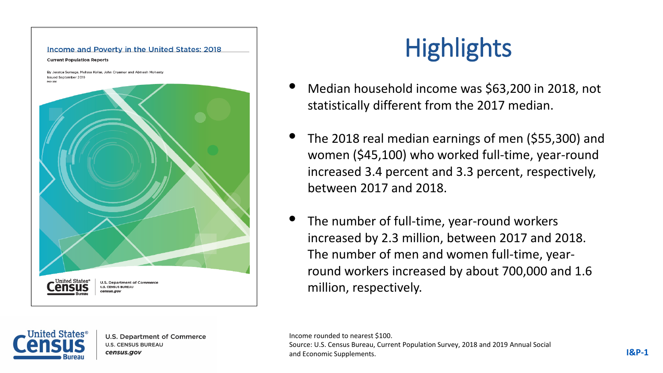# Income and Poverty in the United States: 2018 **Current Population Reports** By Jessica Semega, Melissa Kollar, John Creamer and Abinash Mohanty Issued September 2019 D60-26 United States', **U.S. Department of Commerc U.S. CENSUS BUREAU** census.aov

# **Highlights**

- Median household income was \$63,200 in 2018, not statistically different from the 2017 median.
- The 2018 real median earnings of men (\$55,300) and women (\$45,100) who worked full-time, year-round increased 3.4 percent and 3.3 percent, respectively, between 2017 and 2018.
- The number of full-time, year-round workers increased by 2.3 million, between 2017 and 2018. The number of men and women full-time, yearround workers increased by about 700,000 and 1.6 million, respectively.

**U.S. Department of Commerce U.S. CENSUS BUREAU** census.gov

Income rounded to nearest \$100. Source: U.S. Census Bureau, Current Population Survey, 2018 and 2019 Annual Social and Economic Supplements. **I&P-1**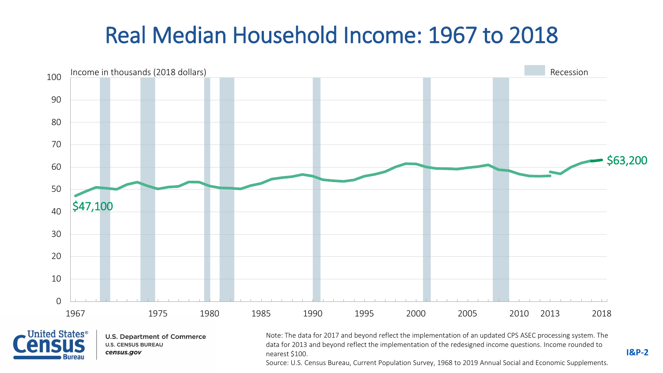#### Real Median Household Income: 1967 to 2018





**U.S. Department of Commerce U.S. CENSUS BUREAU** census.gov

Note: The data for 2017 and beyond reflect the implementation of an updated CPS ASEC processing system. The data for 2013 and beyond reflect the implementation of the redesigned income questions. Income rounded to nearest \$100.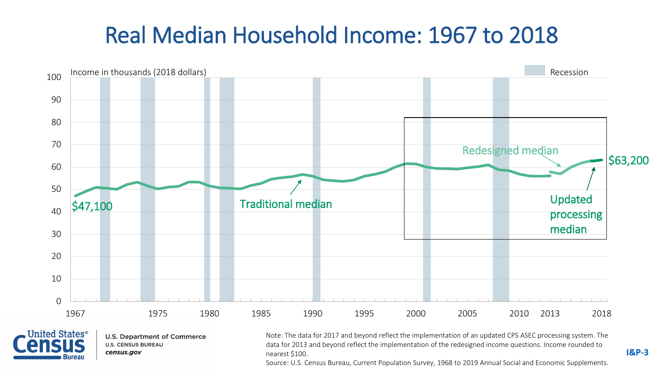#### Real Median Household Income: 1967 to 2018





**U.S. Department of Commerce U.S. CENSUS BUREAU** census.gov

Note: The data for 2017 and beyond reflect the implementation of an updated CPS ASEC processing system. The data for 2013 and beyond reflect the implementation of the redesigned income questions. Income rounded to nearest \$100.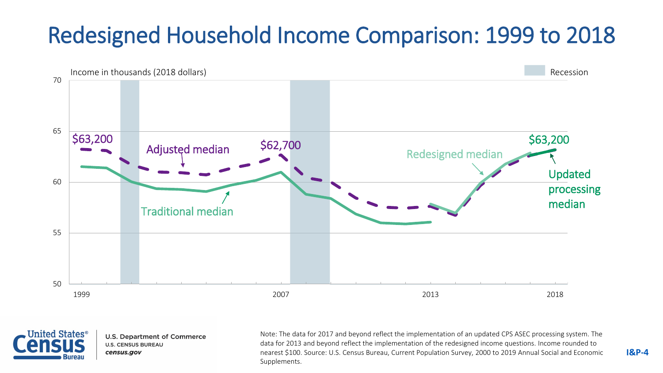### Redesigned Household Income Comparison: 1999 to 2018





**U.S. Department of Commerce U.S. CENSUS BUREAU** census.gov

Note: The data for 2017 and beyond reflect the implementation of an updated CPS ASEC processing system. The data for 2013 and beyond reflect the implementation of the redesigned income questions. Income rounded to nearest \$100. Source: U.S. Census Bureau, Current Population Survey, 2000 to 2019 Annual Social and Economic Supplements.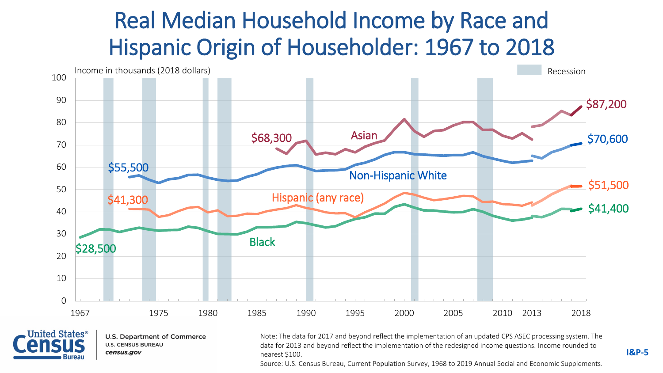#### Real Median Household Income by Race and Hispanic Origin of Householder: 1967 to 2018





**U.S. Department of Commerce U.S. CENSUS BUREAU** census.gov

Note: The data for 2017 and beyond reflect the implementation of an updated CPS ASEC processing system. The data for 2013 and beyond reflect the implementation of the redesigned income questions. Income rounded to nearest \$100.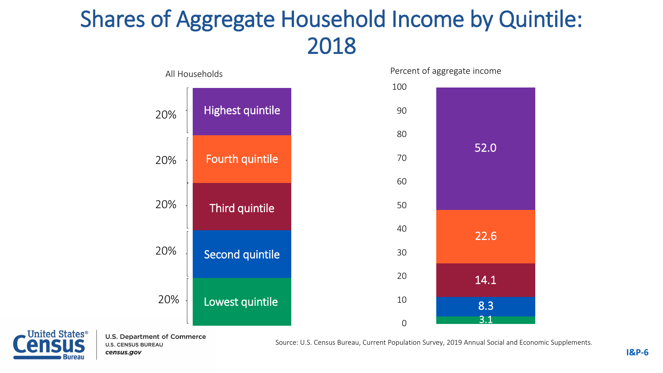#### Shares of Aggregate Household Income by Quintile: 2018





**U.S. Department of Commerce U.S. CENSUS BUREAU** census.gov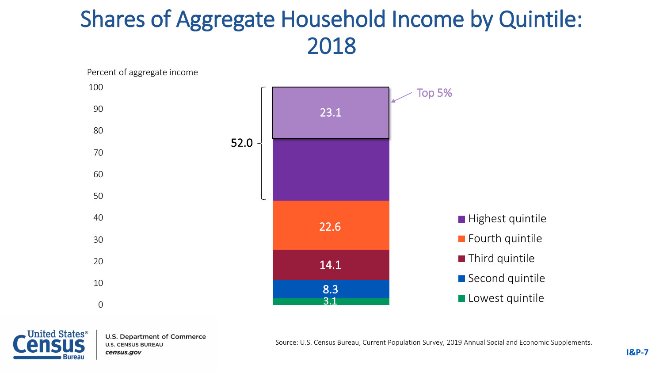#### Shares of Aggregate Household Income by Quintile: 2018





**U.S. Department of Commerce U.S. CENSUS BUREAU** census.gov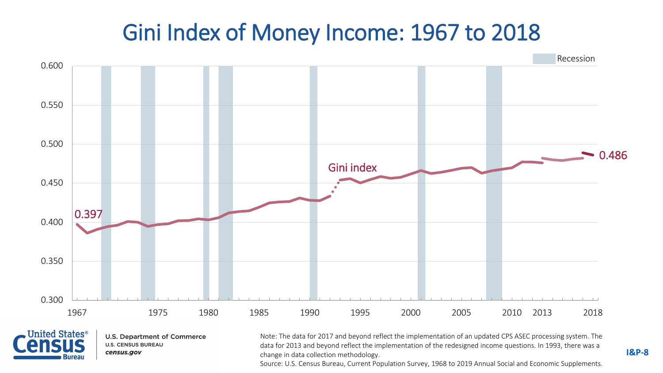#### Gini Index of Money Income: 1967 to 2018





**U.S. Department of Commerce U.S. CENSUS BUREAU** census.gov

Note: The data for 2017 and beyond reflect the implementation of an updated CPS ASEC processing system. The data for 2013 and beyond reflect the implementation of the redesigned income questions. In 1993, there was a change in data collection methodology.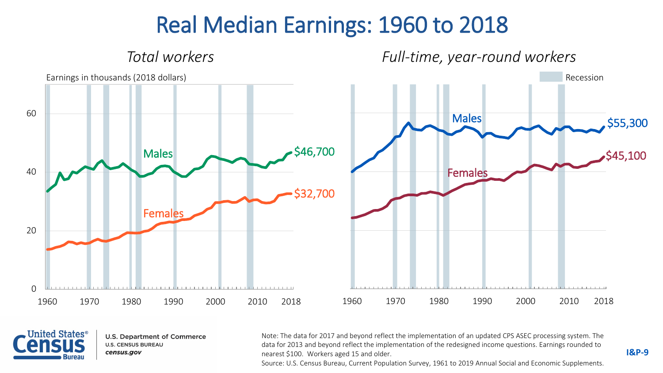#### Real Median Earnings: 1960 to 2018





**U.S. Department of Commerce U.S. CENSUS BUREAU** census.gov

Note: The data for 2017 and beyond reflect the implementation of an updated CPS ASEC processing system. The data for 2013 and beyond reflect the implementation of the redesigned income questions. Earnings rounded to nearest \$100. Workers aged 15 and older.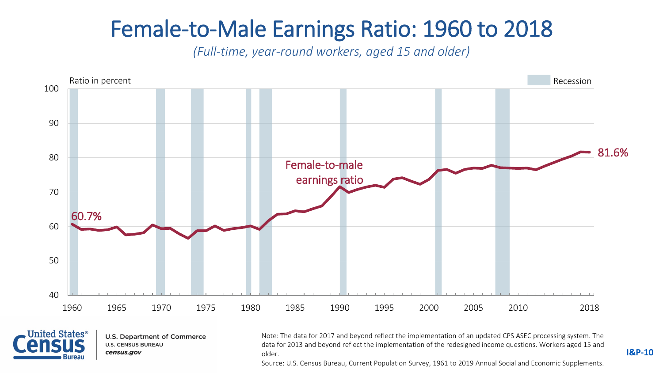#### Female-to-Male Earnings Ratio: 1960 to 2018

*(Full-time, year-round workers, aged 15 and older)*





**U.S. Department of Commerce U.S. CENSUS BUREAU** census.gov

Note: The data for 2017 and beyond reflect the implementation of an updated CPS ASEC processing system. The data for 2013 and beyond reflect the implementation of the redesigned income questions. Workers aged 15 and older.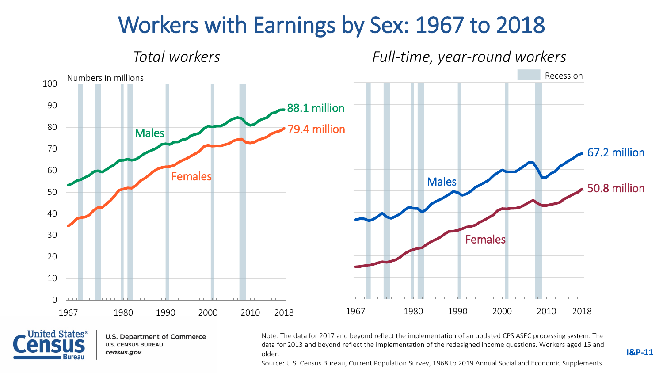#### Workers with Earnings by Sex: 1967 to 2018





**U.S. Department of Commerce U.S. CENSUS BUREAU** census.gov

Note: The data for 2017 and beyond reflect the implementation of an updated CPS ASEC processing system. The data for 2013 and beyond reflect the implementation of the redesigned income questions. Workers aged 15 and older.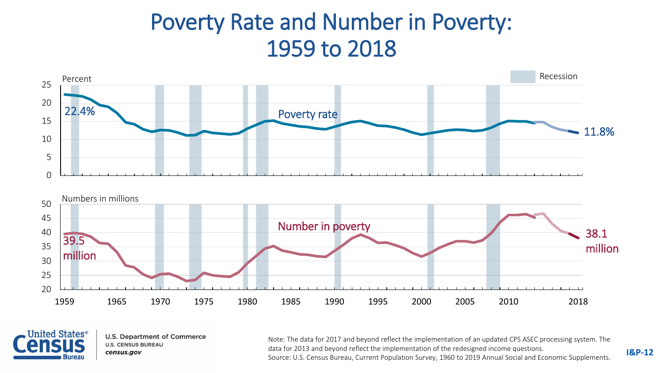#### Poverty Rate and Number in Poverty: 1959 to 2018





**U.S. Department of Commerce U.S. CENSUS BUREAU** census.gov

Note: The data for 2017 and beyond reflect the implementation of an updated CPS ASEC processing system. The data for 2013 and beyond reflect the implementation of the redesigned income questions. Source: U.S. Census Bureau, Current Population Survey, 1960 to 2019 Annual Social and Economic Supplements.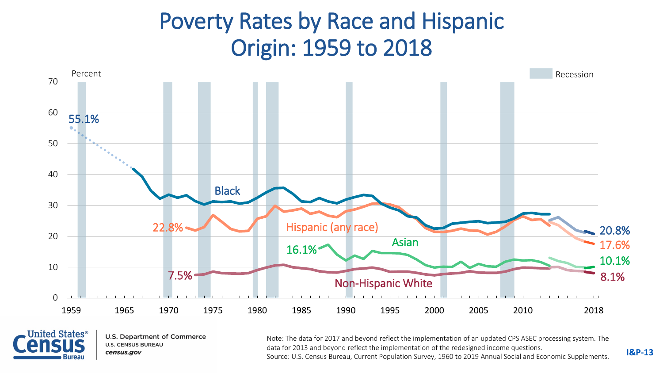#### Poverty Rates by Race and Hispanic Origin: 1959 to 2018





**U.S. Department of Commerce U.S. CENSUS BUREAU** census.gov

Note: The data for 2017 and beyond reflect the implementation of an updated CPS ASEC processing system. The data for 2013 and beyond reflect the implementation of the redesigned income questions. Source: U.S. Census Bureau, Current Population Survey, 1960 to 2019 Annual Social and Economic Supplements. **I&P-13**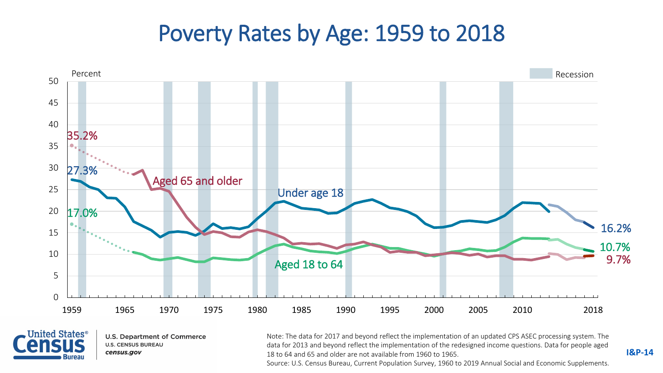#### Poverty Rates by Age: 1959 to 2018





**U.S. Department of Commerce U.S. CENSUS BUREAU** census.gov

Note: The data for 2017 and beyond reflect the implementation of an updated CPS ASEC processing system. The data for 2013 and beyond reflect the implementation of the redesigned income questions. Data for people aged 18 to 64 and 65 and older are not available from 1960 to 1965.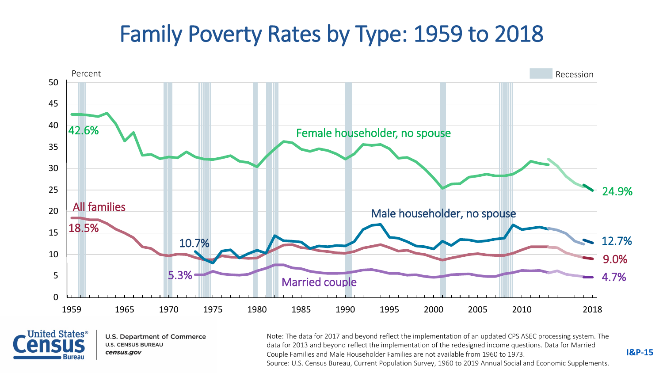#### Family Poverty Rates by Type: 1959 to 2018





**U.S. Department of Commerce U.S. CENSUS BUREAU** census.gov

Note: The data for 2017 and beyond reflect the implementation of an updated CPS ASEC processing system. The data for 2013 and beyond reflect the implementation of the redesigned income questions. Data for Married Couple Families and Male Householder Families are not available from 1960 to 1973. Source: U.S. Census Bureau, Current Population Survey, 1960 to 2019 Annual Social and Economic Supplements.

**I&P-15**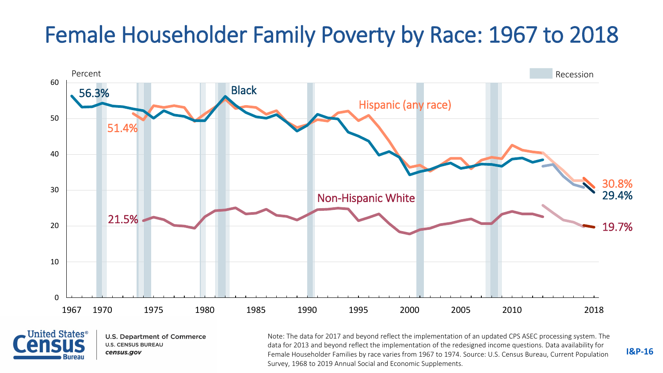#### Female Householder Family Poverty by Race: 1967 to 2018





**U.S. Department of Commerce U.S. CENSUS BUREAU** census.gov

Note: The data for 2017 and beyond reflect the implementation of an updated CPS ASEC processing system. The data for 2013 and beyond reflect the implementation of the redesigned income questions. Data availability for Female Householder Families by race varies from 1967 to 1974. Source: U.S. Census Bureau, Current Population Survey, 1968 to 2019 Annual Social and Economic Supplements.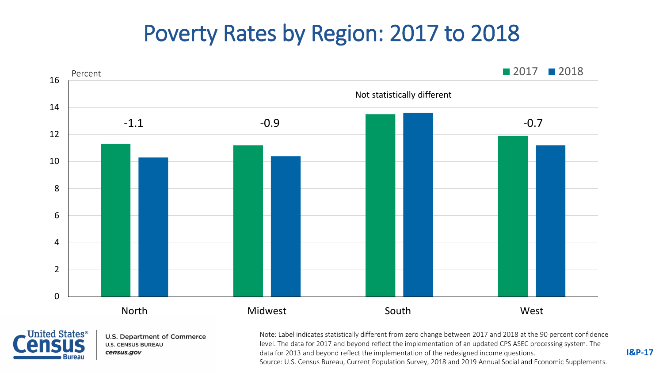#### Poverty Rates by Region: 2017 to 2018





**U.S. Department of Commerce U.S. CENSUS BUREAU** census.gov

Note: Label indicates statistically different from zero change between 2017 and 2018 at the 90 percent confidence level. The data for 2017 and beyond reflect the implementation of an updated CPS ASEC processing system. The data for 2013 and beyond reflect the implementation of the redesigned income questions. Source: U.S. Census Bureau, Current Population Survey, 2018 and 2019 Annual Social and Economic Supplements.